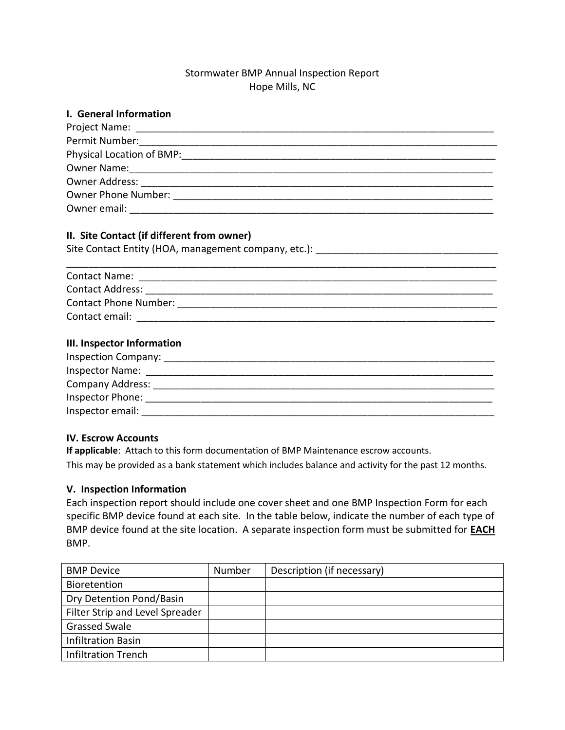# Stormwater BMP Annual Inspection Report Hope Mills, NC

| I. General Information                                                                                                                                                                                                         |
|--------------------------------------------------------------------------------------------------------------------------------------------------------------------------------------------------------------------------------|
|                                                                                                                                                                                                                                |
|                                                                                                                                                                                                                                |
| Physical Location of BMP:                                                                                                                                                                                                      |
|                                                                                                                                                                                                                                |
|                                                                                                                                                                                                                                |
| Owner Phone Number: The Contract of the Contract of the Contract of the Contract of the Contract of the Contract of the Contract of the Contract of the Contract of the Contract of the Contract of the Contract of the Contra |
| Owner email: <u>_______________________________</u>                                                                                                                                                                            |
|                                                                                                                                                                                                                                |

## **II. Site Contact (if different from owner)**

| Site Contact Entity (HOA, management company, etc.): |  |
|------------------------------------------------------|--|
|------------------------------------------------------|--|

| <b>Contact Name:</b>         |  |
|------------------------------|--|
| <b>Contact Address:</b>      |  |
| <b>Contact Phone Number:</b> |  |
| Contact email:               |  |

### **III. Inspector Information**

| <b>Inspection Company:</b> |
|----------------------------|
| <b>Inspector Name:</b>     |
| <b>Company Address:</b>    |
| Inspector Phone:           |
| Inspector email:           |

### **IV. Escrow Accounts**

**If applicable**: Attach to this form documentation of BMP Maintenance escrow accounts. This may be provided as a bank statement which includes balance and activity for the past 12 months.

# **V. Inspection Information**

Each inspection report should include one cover sheet and one BMP Inspection Form for each specific BMP device found at each site. In the table below, indicate the number of each type of BMP device found at the site location. A separate inspection form must be submitted for **EACH** BMP.

| <b>BMP Device</b>               | Number | Description (if necessary) |
|---------------------------------|--------|----------------------------|
| Bioretention                    |        |                            |
| Dry Detention Pond/Basin        |        |                            |
| Filter Strip and Level Spreader |        |                            |
| <b>Grassed Swale</b>            |        |                            |
| <b>Infiltration Basin</b>       |        |                            |
| <b>Infiltration Trench</b>      |        |                            |